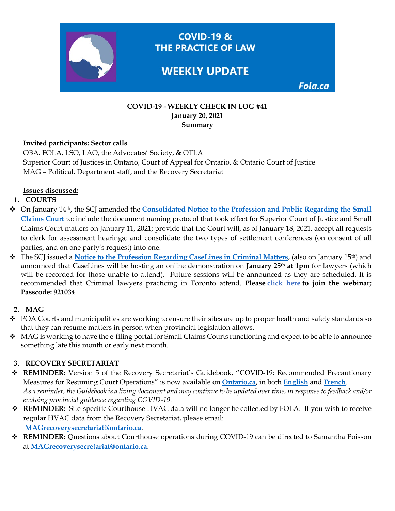

#### **COVID-19 - WEEKLY CHECK IN LOG #41 January 20, 2021 Summary**

### **Invited participants: Sector calls**

OBA, FOLA, LSO, LAO, the Advocates' Society, & OTLA Superior Court of Justices in Ontario, Court of Appeal for Ontario, & Ontario Court of Justice MAG – Political, Department staff, and the Recovery Secretariat

### **Issues discussed:**

# **1. COURTS**

- On January 14th, the SCJ amended the **[Consolidated Notice to the Profession and Public Regarding the Small](https://www.ontariocourts.ca/scj/notices-and-orders-covid-19/suspension-small-claims-ops/)  [Claims Court](https://www.ontariocourts.ca/scj/notices-and-orders-covid-19/suspension-small-claims-ops/)** to: include the document naming protocol that took effect for Superior Court of Justice and Small Claims Court matters on January 11, 2021; provide that the Court will, as of January 18, 2021, accept all requests to clerk for assessment hearings; and consolidate the two types of settlement conferences (on consent of all parties, and on one party's request) into one.
- The SCJ issued a **[Notice to the Profession Regarding CaseLines in Criminal Matters](https://www.ontariocourts.ca/scj/notices-and-orders-covid-19/toronto-criminal-caselines/)**, (also on January 15th) and announced that CaseLines will be hosting an online demonstration on **January 25th at 1pm** for lawyers (which will be recorded for those unable to attend). Future sessions will be announced as they are scheduled. It is recommended that Criminal lawyers practicing in Toronto attend. **Please [click here](https://ca01web.zoom.us/j/65780448773?pwd=K0pWbW1qcG4ycHE0ZXF0R2pjeHUrZz09) to join the webinar; Passcode: 921034**

### **2. MAG**

- POA Courts and municipalities are working to ensure their sites are up to proper health and safety standards so that they can resume matters in person when provincial legislation allows.
- $\bullet$  MAG is working to have the e-filing portal for Small Claims Courts functioning and expect to be able to announce something late this month or early next month.

# **3. RECOVERY SECRETARIAT**

- **REMINDER:** Version 5 of the Recovery Secretariat's Guidebook, "COVID-19: Recommended Precautionary Measures for Resuming Court Operations" is now available on **[Ontario.ca](https://www.ontario.ca/page/covid-19-reopening-courtrooms)**, in both **[English](https://files.ontario.ca/mag-covid-19-recommended-precautionary-measures-en-2020-12-01.pdf)** and **[French](https://files.ontario.ca/mag-covid-19-recommended-precautionary-measures-fr-2020-12-01.pdf)**. *As a reminder, the Guidebook is a living document and may continue to be updated over time, in response to feedback and/or evolving provincial guidance regarding COVID-19.*
- **REMINDER:** Site-specific Courthouse HVAC data will no longer be collected by FOLA. If you wish to receive regular HVAC data from the Recovery Secretariat, please email: **[MAGrecoverysecretariat@ontario.ca](mailto:MAGrecoverysecretariat@ontario.ca)**.
- **REMINDER:** Questions about Courthouse operations during COVID-19 can be directed to Samantha Poisson at **[MAGrecoverysecretariat@ontario.ca](mailto:MAGrecoverysecretariat@ontario.ca)**.